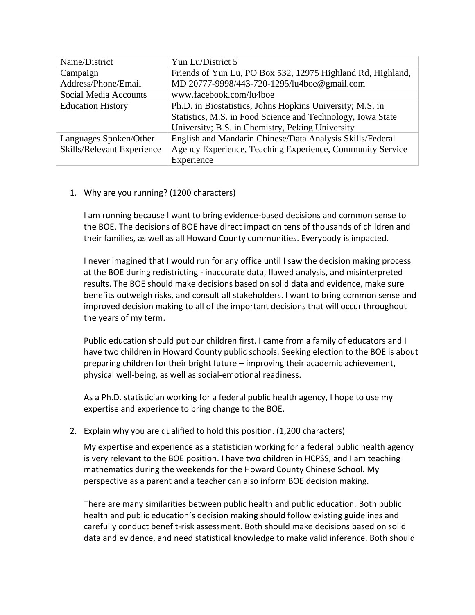| Name/District              | Yun Lu/District 5                                           |
|----------------------------|-------------------------------------------------------------|
| Campaign                   | Friends of Yun Lu, PO Box 532, 12975 Highland Rd, Highland, |
| Address/Phone/Email        | MD 20777-9998/443-720-1295/lu4boe@gmail.com                 |
| Social Media Accounts      | www.facebook.com/lu4boe                                     |
| <b>Education History</b>   | Ph.D. in Biostatistics, Johns Hopkins University; M.S. in   |
|                            | Statistics, M.S. in Food Science and Technology, Iowa State |
|                            | University; B.S. in Chemistry, Peking University            |
| Languages Spoken/Other     | English and Mandarin Chinese/Data Analysis Skills/Federal   |
| Skills/Relevant Experience | Agency Experience, Teaching Experience, Community Service   |
|                            | Experience                                                  |

## 1. Why are you running? (1200 characters)

I am running because I want to bring evidence-based decisions and common sense to the BOE. The decisions of BOE have direct impact on tens of thousands of children and their families, as well as all Howard County communities. Everybody is impacted.

I never imagined that I would run for any office until I saw the decision making process at the BOE during redistricting - inaccurate data, flawed analysis, and misinterpreted results. The BOE should make decisions based on solid data and evidence, make sure benefits outweigh risks, and consult all stakeholders. I want to bring common sense and improved decision making to all of the important decisions that will occur throughout the years of my term.

Public education should put our children first. I came from a family of educators and I have two children in Howard County public schools. Seeking election to the BOE is about preparing children for their bright future – improving their academic achievement, physical well-being, as well as social-emotional readiness.

As a Ph.D. statistician working for a federal public health agency, I hope to use my expertise and experience to bring change to the BOE.

## 2. Explain why you are qualified to hold this position. (1,200 characters)

My expertise and experience as a statistician working for a federal public health agency is very relevant to the BOE position. I have two children in HCPSS, and I am teaching mathematics during the weekends for the Howard County Chinese School. My perspective as a parent and a teacher can also inform BOE decision making.

There are many similarities between public health and public education. Both public health and public education's decision making should follow existing guidelines and carefully conduct benefit-risk assessment. Both should make decisions based on solid data and evidence, and need statistical knowledge to make valid inference. Both should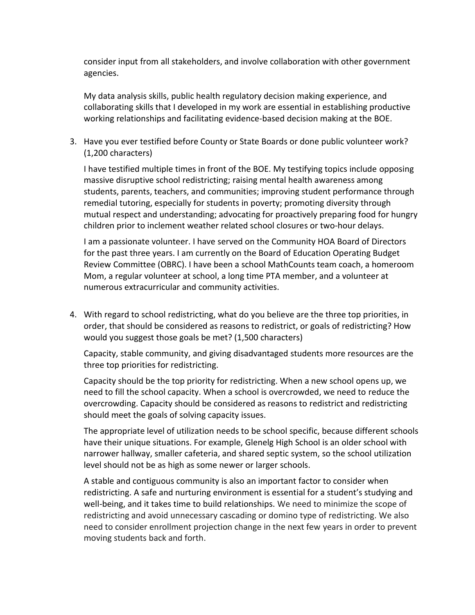consider input from all stakeholders, and involve collaboration with other government agencies.

My data analysis skills, public health regulatory decision making experience, and collaborating skills that I developed in my work are essential in establishing productive working relationships and facilitating evidence-based decision making at the BOE.

3. Have you ever testified before County or State Boards or done public volunteer work? (1,200 characters)

I have testified multiple times in front of the BOE. My testifying topics include opposing massive disruptive school redistricting; raising mental health awareness among students, parents, teachers, and communities; improving student performance through remedial tutoring, especially for students in poverty; promoting diversity through mutual respect and understanding; advocating for proactively preparing food for hungry children prior to inclement weather related school closures or two-hour delays.

I am a passionate volunteer. I have served on the Community HOA Board of Directors for the past three years. I am currently on the Board of Education Operating Budget Review Committee (OBRC). I have been a school MathCounts team coach, a homeroom Mom, a regular volunteer at school, a long time PTA member, and a volunteer at numerous extracurricular and community activities.

4. With regard to school redistricting, what do you believe are the three top priorities, in order, that should be considered as reasons to redistrict, or goals of redistricting? How would you suggest those goals be met? (1,500 characters)

Capacity, stable community, and giving disadvantaged students more resources are the three top priorities for redistricting.

Capacity should be the top priority for redistricting. When a new school opens up, we need to fill the school capacity. When a school is overcrowded, we need to reduce the overcrowding. Capacity should be considered as reasons to redistrict and redistricting should meet the goals of solving capacity issues.

The appropriate level of utilization needs to be school specific, because different schools have their unique situations. For example, Glenelg High School is an older school with narrower hallway, smaller cafeteria, and shared septic system, so the school utilization level should not be as high as some newer or larger schools.

A stable and contiguous community is also an important factor to consider when redistricting. A safe and nurturing environment is essential for a student's studying and well-being, and it takes time to build relationships. We need to minimize the scope of redistricting and avoid unnecessary cascading or domino type of redistricting. We also need to consider enrollment projection change in the next few years in order to prevent moving students back and forth.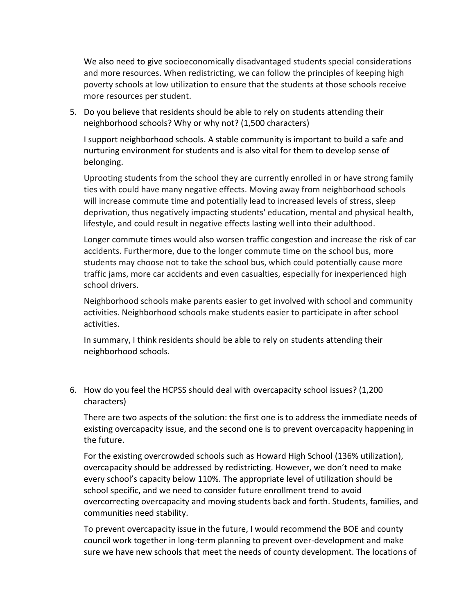We also need to give socioeconomically disadvantaged students special considerations and more resources. When redistricting, we can follow the principles of keeping high poverty schools at low utilization to ensure that the students at those schools receive more resources per student.

5. Do you believe that residents should be able to rely on students attending their neighborhood schools? Why or why not? (1,500 characters)

I support neighborhood schools. A stable community is important to build a safe and nurturing environment for students and is also vital for them to develop sense of belonging.

Uprooting students from the school they are currently enrolled in or have strong family ties with could have many negative effects. Moving away from neighborhood schools will increase commute time and potentially lead to increased levels of stress, sleep deprivation, thus negatively impacting students' education, mental and physical health, lifestyle, and could result in negative effects lasting well into their adulthood.

Longer commute times would also worsen traffic congestion and increase the risk of car accidents. Furthermore, due to the longer commute time on the school bus, more students may choose not to take the school bus, which could potentially cause more traffic jams, more car accidents and even casualties, especially for inexperienced high school drivers.

Neighborhood schools make parents easier to get involved with school and community activities. Neighborhood schools make students easier to participate in after school activities.

In summary, I think residents should be able to rely on students attending their neighborhood schools.

6. How do you feel the HCPSS should deal with overcapacity school issues? (1,200 characters)

There are two aspects of the solution: the first one is to address the immediate needs of existing overcapacity issue, and the second one is to prevent overcapacity happening in the future.

For the existing overcrowded schools such as Howard High School (136% utilization), overcapacity should be addressed by redistricting. However, we don't need to make every school's capacity below 110%. The appropriate level of utilization should be school specific, and we need to consider future enrollment trend to avoid overcorrecting overcapacity and moving students back and forth. Students, families, and communities need stability.

To prevent overcapacity issue in the future, I would recommend the BOE and county council work together in long-term planning to prevent over-development and make sure we have new schools that meet the needs of county development. The locations of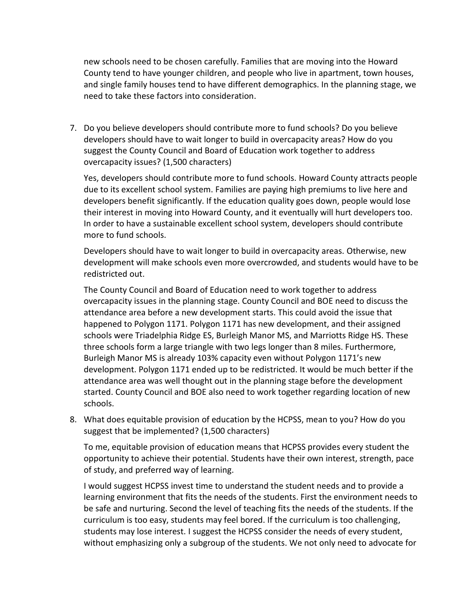new schools need to be chosen carefully. Families that are moving into the Howard County tend to have younger children, and people who live in apartment, town houses, and single family houses tend to have different demographics. In the planning stage, we need to take these factors into consideration.

7. Do you believe developers should contribute more to fund schools? Do you believe developers should have to wait longer to build in overcapacity areas? How do you suggest the County Council and Board of Education work together to address overcapacity issues? (1,500 characters)

Yes, developers should contribute more to fund schools. Howard County attracts people due to its excellent school system. Families are paying high premiums to live here and developers benefit significantly. If the education quality goes down, people would lose their interest in moving into Howard County, and it eventually will hurt developers too. In order to have a sustainable excellent school system, developers should contribute more to fund schools.

Developers should have to wait longer to build in overcapacity areas. Otherwise, new development will make schools even more overcrowded, and students would have to be redistricted out.

The County Council and Board of Education need to work together to address overcapacity issues in the planning stage. County Council and BOE need to discuss the attendance area before a new development starts. This could avoid the issue that happened to Polygon 1171. Polygon 1171 has new development, and their assigned schools were Triadelphia Ridge ES, Burleigh Manor MS, and Marriotts Ridge HS. These three schools form a large triangle with two legs longer than 8 miles. Furthermore, Burleigh Manor MS is already 103% capacity even without Polygon 1171's new development. Polygon 1171 ended up to be redistricted. It would be much better if the attendance area was well thought out in the planning stage before the development started. County Council and BOE also need to work together regarding location of new schools.

8. What does equitable provision of education by the HCPSS, mean to you? How do you suggest that be implemented? (1,500 characters)

To me, equitable provision of education means that HCPSS provides every student the opportunity to achieve their potential. Students have their own interest, strength, pace of study, and preferred way of learning.

I would suggest HCPSS invest time to understand the student needs and to provide a learning environment that fits the needs of the students. First the environment needs to be safe and nurturing. Second the level of teaching fits the needs of the students. If the curriculum is too easy, students may feel bored. If the curriculum is too challenging, students may lose interest. I suggest the HCPSS consider the needs of every student, without emphasizing only a subgroup of the students. We not only need to advocate for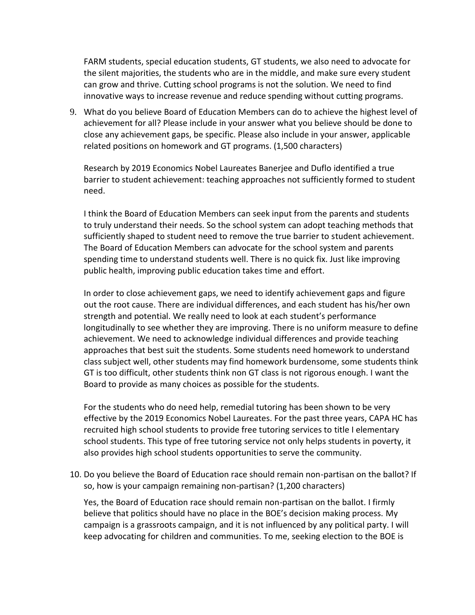FARM students, special education students, GT students, we also need to advocate for the silent majorities, the students who are in the middle, and make sure every student can grow and thrive. Cutting school programs is not the solution. We need to find innovative ways to increase revenue and reduce spending without cutting programs.

9. What do you believe Board of Education Members can do to achieve the highest level of achievement for all? Please include in your answer what you believe should be done to close any achievement gaps, be specific. Please also include in your answer, applicable related positions on homework and GT programs. (1,500 characters)

Research by 2019 Economics Nobel Laureates Banerjee and Duflo identified a true barrier to student achievement: teaching approaches not sufficiently formed to student need.

I think the Board of Education Members can seek input from the parents and students to truly understand their needs. So the school system can adopt teaching methods that sufficiently shaped to student need to remove the true barrier to student achievement. The Board of Education Members can advocate for the school system and parents spending time to understand students well. There is no quick fix. Just like improving public health, improving public education takes time and effort.

In order to close achievement gaps, we need to identify achievement gaps and figure out the root cause. There are individual differences, and each student has his/her own strength and potential. We really need to look at each student's performance longitudinally to see whether they are improving. There is no uniform measure to define achievement. We need to acknowledge individual differences and provide teaching approaches that best suit the students. Some students need homework to understand class subject well, other students may find homework burdensome, some students think GT is too difficult, other students think non GT class is not rigorous enough. I want the Board to provide as many choices as possible for the students.

For the students who do need help, remedial tutoring has been shown to be very effective by the 2019 Economics Nobel Laureates. For the past three years, CAPA HC has recruited high school students to provide free tutoring services to title I elementary school students. This type of free tutoring service not only helps students in poverty, it also provides high school students opportunities to serve the community.

10. Do you believe the Board of Education race should remain non-partisan on the ballot? If so, how is your campaign remaining non-partisan? (1,200 characters)

Yes, the Board of Education race should remain non-partisan on the ballot. I firmly believe that politics should have no place in the BOE's decision making process. My campaign is a grassroots campaign, and it is not influenced by any political party. I will keep advocating for children and communities. To me, seeking election to the BOE is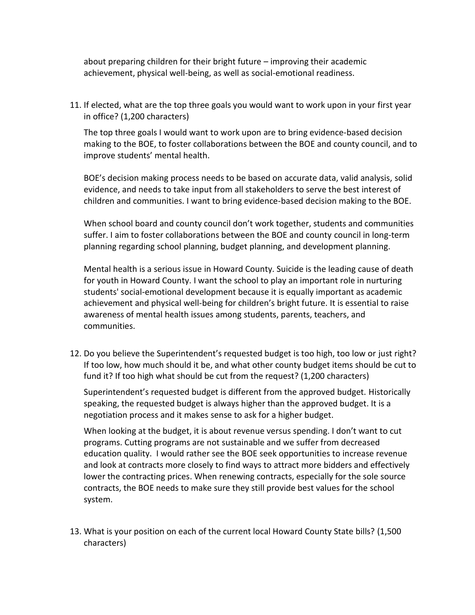about preparing children for their bright future – improving their academic achievement, physical well-being, as well as social-emotional readiness.

11. If elected, what are the top three goals you would want to work upon in your first year in office? (1,200 characters)

The top three goals I would want to work upon are to bring evidence-based decision making to the BOE, to foster collaborations between the BOE and county council, and to improve students' mental health.

BOE's decision making process needs to be based on accurate data, valid analysis, solid evidence, and needs to take input from all stakeholders to serve the best interest of children and communities. I want to bring evidence-based decision making to the BOE.

When school board and county council don't work together, students and communities suffer. I aim to foster collaborations between the BOE and county council in long-term planning regarding school planning, budget planning, and development planning.

Mental health is a serious issue in Howard County. Suicide is the leading cause of death for youth in Howard County. I want the school to play an important role in nurturing students' social-emotional development because it is equally important as academic achievement and physical well-being for children's bright future. It is essential to raise awareness of mental health issues among students, parents, teachers, and communities.

12. Do you believe the Superintendent's requested budget is too high, too low or just right? If too low, how much should it be, and what other county budget items should be cut to fund it? If too high what should be cut from the request? (1,200 characters)

Superintendent's requested budget is different from the approved budget. Historically speaking, the requested budget is always higher than the approved budget. It is a negotiation process and it makes sense to ask for a higher budget.

When looking at the budget, it is about revenue versus spending. I don't want to cut programs. Cutting programs are not sustainable and we suffer from decreased education quality. I would rather see the BOE seek opportunities to increase revenue and look at contracts more closely to find ways to attract more bidders and effectively lower the contracting prices. When renewing contracts, especially for the sole source contracts, the BOE needs to make sure they still provide best values for the school system.

13. What is your position on each of the current local Howard County State bills? (1,500 characters)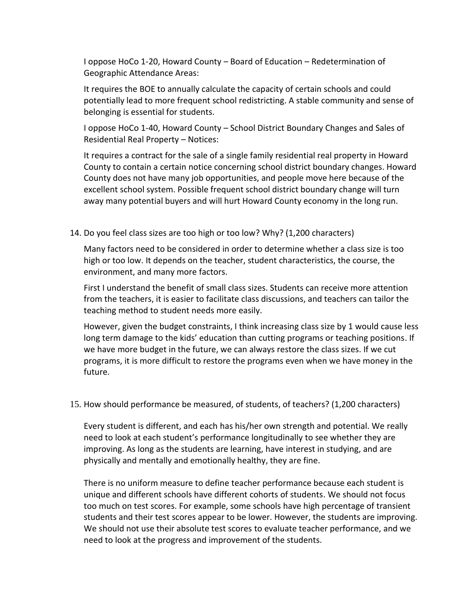I oppose HoCo 1-20, Howard County – Board of Education – Redetermination of Geographic Attendance Areas:

It requires the BOE to annually calculate the capacity of certain schools and could potentially lead to more frequent school redistricting. A stable community and sense of belonging is essential for students.

I oppose HoCo 1-40, Howard County – School District Boundary Changes and Sales of Residential Real Property – Notices:

It requires a contract for the sale of a single family residential real property in Howard County to contain a certain notice concerning school district boundary changes. Howard County does not have many job opportunities, and people move here because of the excellent school system. Possible frequent school district boundary change will turn away many potential buyers and will hurt Howard County economy in the long run.

## 14. Do you feel class sizes are too high or too low? Why? (1,200 characters)

Many factors need to be considered in order to determine whether a class size is too high or too low. It depends on the teacher, student characteristics, the course, the environment, and many more factors.

First I understand the benefit of small class sizes. Students can receive more attention from the teachers, it is easier to facilitate class discussions, and teachers can tailor the teaching method to student needs more easily.

However, given the budget constraints, I think increasing class size by 1 would cause less long term damage to the kids' education than cutting programs or teaching positions. If we have more budget in the future, we can always restore the class sizes. If we cut programs, it is more difficult to restore the programs even when we have money in the future.

## 15. How should performance be measured, of students, of teachers? (1,200 characters)

Every student is different, and each has his/her own strength and potential. We really need to look at each student's performance longitudinally to see whether they are improving. As long as the students are learning, have interest in studying, and are physically and mentally and emotionally healthy, they are fine.

There is no uniform measure to define teacher performance because each student is unique and different schools have different cohorts of students. We should not focus too much on test scores. For example, some schools have high percentage of transient students and their test scores appear to be lower. However, the students are improving. We should not use their absolute test scores to evaluate teacher performance, and we need to look at the progress and improvement of the students.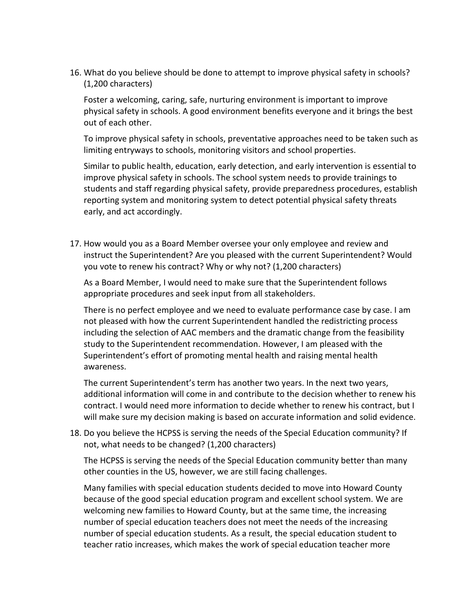16. What do you believe should be done to attempt to improve physical safety in schools? (1,200 characters)

Foster a welcoming, caring, safe, nurturing environment is important to improve physical safety in schools. A good environment benefits everyone and it brings the best out of each other.

To improve physical safety in schools, preventative approaches need to be taken such as limiting entryways to schools, monitoring visitors and school properties.

Similar to public health, education, early detection, and early intervention is essential to improve physical safety in schools. The school system needs to provide trainings to students and staff regarding physical safety, provide preparedness procedures, establish reporting system and monitoring system to detect potential physical safety threats early, and act accordingly.

17. How would you as a Board Member oversee your only employee and review and instruct the Superintendent? Are you pleased with the current Superintendent? Would you vote to renew his contract? Why or why not? (1,200 characters)

As a Board Member, I would need to make sure that the Superintendent follows appropriate procedures and seek input from all stakeholders.

There is no perfect employee and we need to evaluate performance case by case. I am not pleased with how the current Superintendent handled the redistricting process including the selection of AAC members and the dramatic change from the feasibility study to the Superintendent recommendation. However, I am pleased with the Superintendent's effort of promoting mental health and raising mental health awareness.

The current Superintendent's term has another two years. In the next two years, additional information will come in and contribute to the decision whether to renew his contract. I would need more information to decide whether to renew his contract, but I will make sure my decision making is based on accurate information and solid evidence.

18. Do you believe the HCPSS is serving the needs of the Special Education community? If not, what needs to be changed? (1,200 characters)

The HCPSS is serving the needs of the Special Education community better than many other counties in the US, however, we are still facing challenges.

Many families with special education students decided to move into Howard County because of the good special education program and excellent school system. We are welcoming new families to Howard County, but at the same time, the increasing number of special education teachers does not meet the needs of the increasing number of special education students. As a result, the special education student to teacher ratio increases, which makes the work of special education teacher more